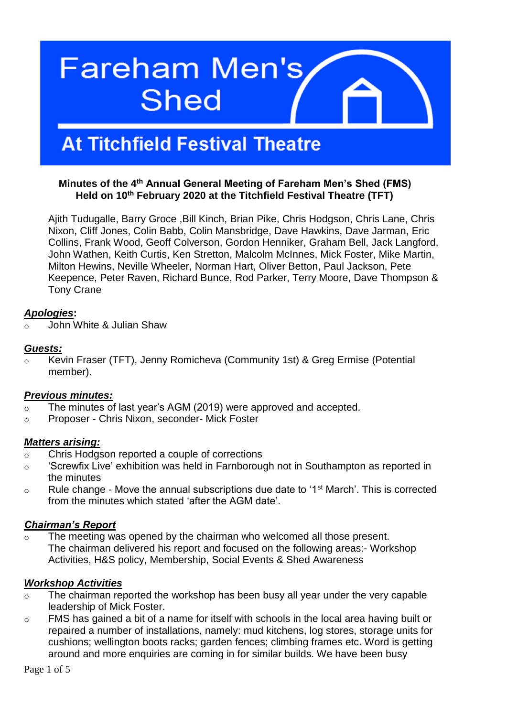# **Fareham Men's Shed**

# **At Titchfield Festival Theatre**

#### **Minutes of the 4th Annual General Meeting of Fareham Men's Shed (FMS) Held on 10th February 2020 at the Titchfield Festival Theatre (TFT)**

Ajith Tudugalle, Barry Groce ,Bill Kinch, Brian Pike, Chris Hodgson, Chris Lane, Chris Nixon, Cliff Jones, Colin Babb, Colin Mansbridge, Dave Hawkins, Dave Jarman, Eric Collins, Frank Wood, Geoff Colverson, Gordon Henniker, Graham Bell, Jack Langford, John Wathen, Keith Curtis, Ken Stretton, Malcolm McInnes, Mick Foster, Mike Martin, Milton Hewins, Neville Wheeler, Norman Hart, Oliver Betton, Paul Jackson, Pete Keepence, Peter Raven, Richard Bunce, Rod Parker, Terry Moore, Dave Thompson & Tony Crane

#### *Apologies***:**

John White & Julian Shaw

#### *Guests:*

o Kevin Fraser (TFT), Jenny Romicheva (Community 1st) & Greg Ermise (Potential member).

#### *Previous minutes:*

- o The minutes of last year's AGM (2019) were approved and accepted.
- o Proposer Chris Nixon, seconder- Mick Foster

### *Matters arising:*

- o Chris Hodgson reported a couple of corrections
- o 'Screwfix Live' exhibition was held in Farnborough not in Southampton as reported in the minutes
- $\circ$  Rule change Move the annual subscriptions due date to '1<sup>st</sup> March'. This is corrected from the minutes which stated 'after the AGM date'.

### *Chairman's Report*

o The meeting was opened by the chairman who welcomed all those present. The chairman delivered his report and focused on the following areas:- Workshop Activities, H&S policy, Membership, Social Events & Shed Awareness

### *Workshop Activities*

- o The chairman reported the workshop has been busy all year under the very capable leadership of Mick Foster.
- o FMS has gained a bit of a name for itself with schools in the local area having built or repaired a number of installations, namely: mud kitchens, log stores, storage units for cushions; wellington boots racks; garden fences; climbing frames etc. Word is getting around and more enquiries are coming in for similar builds. We have been busy

Page 1 of 5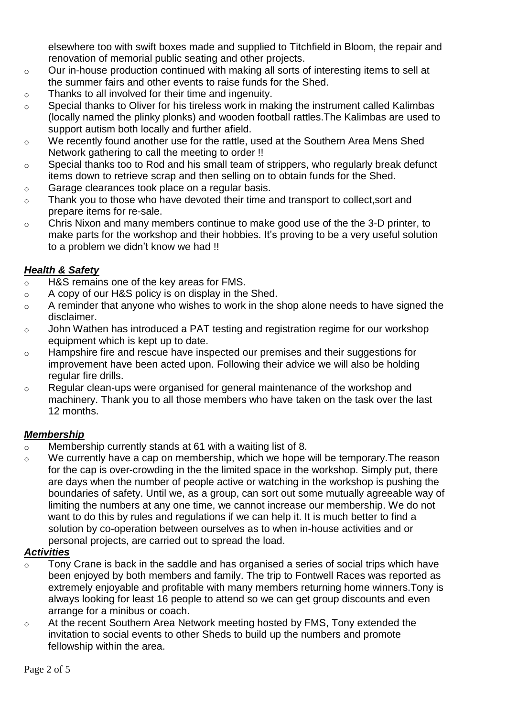elsewhere too with swift boxes made and supplied to Titchfield in Bloom, the repair and renovation of memorial public seating and other projects.

- o Our in-house production continued with making all sorts of interesting items to sell at the summer fairs and other events to raise funds for the Shed.
- o Thanks to all involved for their time and ingenuity.
- o Special thanks to Oliver for his tireless work in making the instrument called Kalimbas (locally named the plinky plonks) and wooden football rattles.The Kalimbas are used to support autism both locally and further afield.
- $\circ$  We recently found another use for the rattle, used at the Southern Area Mens Shed Network gathering to call the meeting to order !!
- o Special thanks too to Rod and his small team of strippers, who regularly break defunct items down to retrieve scrap and then selling on to obtain funds for the Shed.
- o Garage clearances took place on a regular basis.
- o Thank you to those who have devoted their time and transport to collect,sort and prepare items for re-sale.
- o Chris Nixon and many members continue to make good use of the the 3-D printer, to make parts for the workshop and their hobbies. It's proving to be a very useful solution to a problem we didn't know we had !!

# *Health & Safety*

- o H&S remains one of the key areas for FMS.
- o A copy of our H&S policy is on display in the Shed.
- $\circ$  A reminder that anyone who wishes to work in the shop alone needs to have signed the disclaimer.
- o John Wathen has introduced a PAT testing and registration regime for our workshop equipment which is kept up to date.
- o Hampshire fire and rescue have inspected our premises and their suggestions for improvement have been acted upon. Following their advice we will also be holding regular fire drills.
- o Regular clean-ups were organised for general maintenance of the workshop and machinery. Thank you to all those members who have taken on the task over the last 12 months.

### *Membership*

- o Membership currently stands at 61 with a waiting list of 8.
- o We currently have a cap on membership, which we hope will be temporary.The reason for the cap is over-crowding in the the limited space in the workshop. Simply put, there are days when the number of people active or watching in the workshop is pushing the boundaries of safety. Until we, as a group, can sort out some mutually agreeable way of limiting the numbers at any one time, we cannot increase our membership. We do not want to do this by rules and regulations if we can help it. It is much better to find a solution by co-operation between ourselves as to when in-house activities and or personal projects, are carried out to spread the load.

# *Activities*

- o Tony Crane is back in the saddle and has organised a series of social trips which have been enjoyed by both members and family. The trip to Fontwell Races was reported as extremely enjoyable and profitable with many members returning home winners.Tony is always looking for least 16 people to attend so we can get group discounts and even arrange for a minibus or coach.
- o At the recent Southern Area Network meeting hosted by FMS, Tony extended the invitation to social events to other Sheds to build up the numbers and promote fellowship within the area.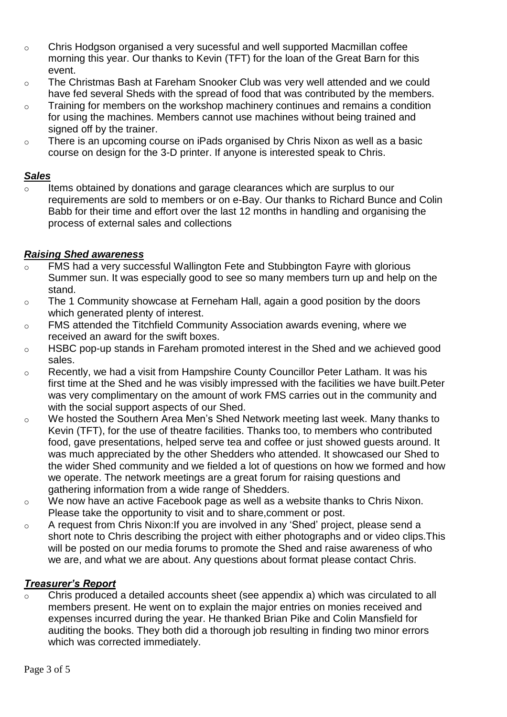- o Chris Hodgson organised a very sucessful and well supported Macmillan coffee morning this year. Our thanks to Kevin (TFT) for the loan of the Great Barn for this event.
- o The Christmas Bash at Fareham Snooker Club was very well attended and we could have fed several Sheds with the spread of food that was contributed by the members.
- o Training for members on the workshop machinery continues and remains a condition for using the machines. Members cannot use machines without being trained and signed off by the trainer.
- o There is an upcoming course on iPads organised by Chris Nixon as well as a basic course on design for the 3-D printer. If anyone is interested speak to Chris.

#### *Sales*

 $\circ$  Items obtained by donations and garage clearances which are surplus to our requirements are sold to members or on e-Bay. Our thanks to Richard Bunce and Colin Babb for their time and effort over the last 12 months in handling and organising the process of external sales and collections

### *Raising Shed awareness*

- FMS had a very successful Wallington Fete and Stubbington Fayre with glorious Summer sun. It was especially good to see so many members turn up and help on the stand.
- o The 1 Community showcase at Ferneham Hall, again a good position by the doors which generated plenty of interest.
- o FMS attended the Titchfield Community Association awards evening, where we received an award for the swift boxes.
- o HSBC pop-up stands in Fareham promoted interest in the Shed and we achieved good sales.
- o Recently, we had a visit from Hampshire County Councillor Peter Latham. It was his first time at the Shed and he was visibly impressed with the facilities we have built.Peter was very complimentary on the amount of work FMS carries out in the community and with the social support aspects of our Shed.
- o We hosted the Southern Area Men's Shed Network meeting last week. Many thanks to Kevin (TFT), for the use of theatre facilities. Thanks too, to members who contributed food, gave presentations, helped serve tea and coffee or just showed guests around. It was much appreciated by the other Shedders who attended. It showcased our Shed to the wider Shed community and we fielded a lot of questions on how we formed and how we operate. The network meetings are a great forum for raising questions and gathering information from a wide range of Shedders.
- o We now have an active Facebook page as well as a website thanks to Chris Nixon. Please take the opportunity to visit and to share,comment or post.
- o A request from Chris Nixon:If you are involved in any 'Shed' project, please send a short note to Chris describing the project with either photographs and or video clips.This will be posted on our media forums to promote the Shed and raise awareness of who we are, and what we are about. Any questions about format please contact Chris.

### *Treasurer's Report*

o Chris produced a detailed accounts sheet (see appendix a) which was circulated to all members present. He went on to explain the major entries on monies received and expenses incurred during the year. He thanked Brian Pike and Colin Mansfield for auditing the books. They both did a thorough job resulting in finding two minor errors which was corrected immediately.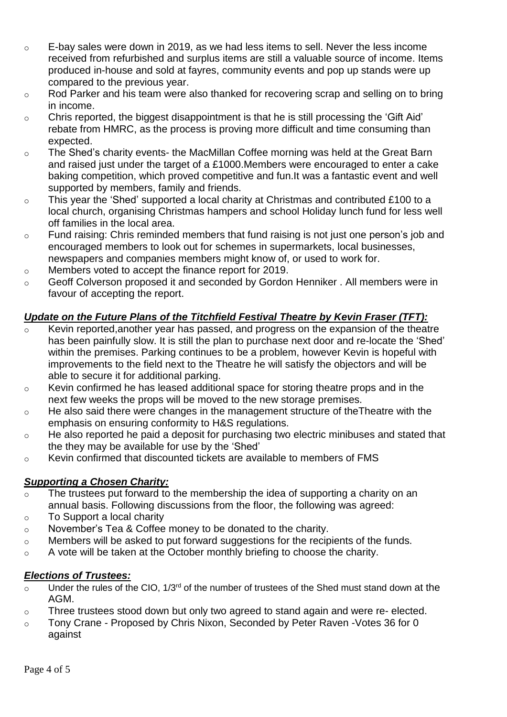- o E-bay sales were down in 2019, as we had less items to sell. Never the less income received from refurbished and surplus items are still a valuable source of income. Items produced in-house and sold at fayres, community events and pop up stands were up compared to the previous year.
- o Rod Parker and his team were also thanked for recovering scrap and selling on to bring in income.
- o Chris reported, the biggest disappointment is that he is still processing the 'Gift Aid' rebate from HMRC, as the process is proving more difficult and time consuming than expected.
- o The Shed's charity events- the MacMillan Coffee morning was held at the Great Barn and raised just under the target of a £1000.Members were encouraged to enter a cake baking competition, which proved competitive and fun.It was a fantastic event and well supported by members, family and friends.
- o This year the 'Shed' supported a local charity at Christmas and contributed £100 to a local church, organising Christmas hampers and school Holiday lunch fund for less well off families in the local area.
- o Fund raising: Chris reminded members that fund raising is not just one person's job and encouraged members to look out for schemes in supermarkets, local businesses, newspapers and companies members might know of, or used to work for.
- o Members voted to accept the finance report for 2019.
- o Geoff Colverson proposed it and seconded by Gordon Henniker . All members were in favour of accepting the report.

# *Update on the Future Plans of the Titchfield Festival Theatre by Kevin Fraser (TFT):*

- Kevin reported, another year has passed, and progress on the expansion of the theatre has been painfully slow. It is still the plan to purchase next door and re-locate the 'Shed' within the premises. Parking continues to be a problem, however Kevin is hopeful with improvements to the field next to the Theatre he will satisfy the objectors and will be able to secure it for additional parking.
- o Kevin confirmed he has leased additional space for storing theatre props and in the next few weeks the props will be moved to the new storage premises.
- o He also said there were changes in the management structure of theTheatre with the emphasis on ensuring conformity to H&S regulations.
- o He also reported he paid a deposit for purchasing two electric minibuses and stated that the they may be available for use by the 'Shed'
- o Kevin confirmed that discounted tickets are available to members of FMS

### *Supporting a Chosen Charity:*

- o The trustees put forward to the membership the idea of supporting a charity on an annual basis. Following discussions from the floor, the following was agreed:
- o To Support a local charity
- o November's Tea & Coffee money to be donated to the charity.
- o Members will be asked to put forward suggestions for the recipients of the funds.
- o A vote will be taken at the October monthly briefing to choose the charity.

### *Elections of Trustees:*

- $\overline{\circ}$  Under the rules of the CIO, 1/3<sup>rd</sup> of the number of trustees of the Shed must stand down at the AGM.
- o Three trustees stood down but only two agreed to stand again and were re- elected.
- o Tony Crane Proposed by Chris Nixon, Seconded by Peter Raven -Votes 36 for 0 against